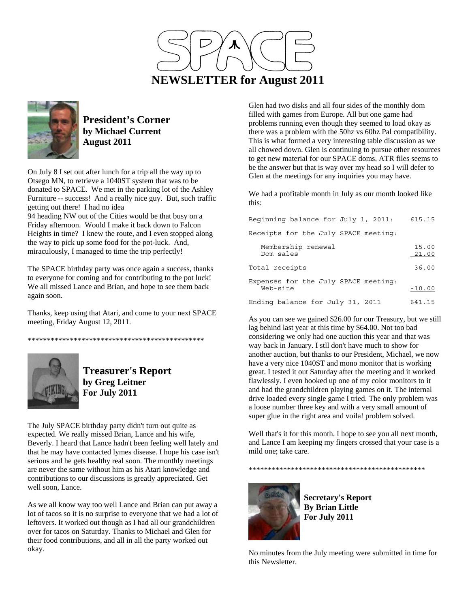



**President's Corner by Michael Current August 2011**

On July 8 I set out after lunch for a trip all the way up to Otsego MN, to retrieve a 1040ST system that was to be donated to SPACE. We met in the parking lot of the Ashley Furniture -- success! And a really nice guy. But, such traffic getting out there! I had no idea

94 heading NW out of the Cities would be that busy on a Friday afternoon. Would I make it back down to Falcon Heights in time? I knew the route, and I even stopped along the way to pick up some food for the pot-luck. And, miraculously, I managed to time the trip perfectly!

The SPACE birthday party was once again a success, thanks to everyone for coming and for contributing to the pot luck! We all missed Lance and Brian, and hope to see them back again soon.

Thanks, keep using that Atari, and come to your next SPACE meeting, Friday August 12, 2011.

\*\*\*\*\*\*\*\*\*\*\*\*\*\*\*\*\*\*\*\*\*\*\*\*\*\*\*\*\*\*\*\*\*\*\*\*\*\*\*\*\*\*\*\*\*\*



**Treasurer's Report by Greg Leitner For July 2011** 

The July SPACE birthday party didn't turn out quite as expected. We really missed Brian, Lance and his wife, Beverly. I heard that Lance hadn't been feeling well lately and that he may have contacted lymes disease. I hope his case isn't serious and he gets healthy real soon. The monthly meetings are never the same without him as his Atari knowledge and contributions to our discussions is greatly appreciated. Get well soon, Lance.

As we all know way too well Lance and Brian can put away a lot of tacos so it is no surprise to everyone that we had a lot of leftovers. It worked out though as I had all our grandchildren over for tacos on Saturday. Thanks to Michael and Glen for their food contributions, and all in all the party worked out okay.

Glen had two disks and all four sides of the monthly dom filled with games from Europe. All but one game had problems running even though they seemed to load okay as there was a problem with the 50hz vs 60hz Pal compatibility. This is what formed a very interesting table discussion as we all chowed down. Glen is continuing to pursue other resources to get new material for our SPACE doms. ATR files seems to be the answer but that is way over my head so I will defer to Glen at the meetings for any inquiries you may have.

We had a profitable month in July as our month looked like this:

| Beginning balance for July 1, 2011:              | 615.15         |
|--------------------------------------------------|----------------|
| Receipts for the July SPACE meeting:             |                |
| Membership renewal<br>Dom sales                  | 15.00<br>21.00 |
| Total receipts                                   | 36.00          |
| Expenses for the July SPACE meeting:<br>Web-site | $-10.00$       |
| Ending balance for July 31, 2011                 | 641.15         |

As you can see we gained \$26.00 for our Treasury, but we still lag behind last year at this time by \$64.00. Not too bad considering we only had one auction this year and that was way back in January. I stll don't have much to show for another auction, but thanks to our President, Michael, we now have a very nice 1040ST and mono monitor that is working great. I tested it out Saturday after the meeting and it worked flawlessly. I even hooked up one of my color monitors to it and had the grandchildren playing games on it. The internal drive loaded every single game I tried. The only problem was a loose number three key and with a very small amount of super glue in the right area and voila! problem solved.

Well that's it for this month. I hope to see you all next month, and Lance I am keeping my fingers crossed that your case is a mild one; take care.





**Secretary's Report By Brian Little For July 2011** 

No minutes from the July meeting were submitted in time for this Newsletter.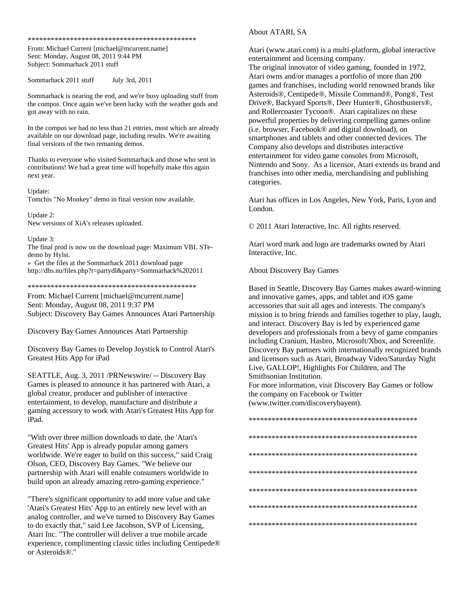\*\*\*\*\*\*\*\*\*\*\*\*\*\*\*\*\*\*\*\*\*\*\*\*\*\*\*\*\*\*\*\*\*\*\*\*\*\*\*\*\*\*\*\*

From: Michael Current [michael@mcurrent.name] Sent: Monday, August 08, 2011 9:44 PM Subject: Sommarhack 2011 stuff

Sommarhack 2011 stuff July 3rd, 2011

Sommarhack is nearing the end, and we're busy uploading stuff from the compos. Once again we've been lucky with the weather gods and got away with no rain.

In the compos we had no less than 21 entries, most which are already available on our download page, including results. We're awaiting final versions of the two remaning demos.

Thanks to everyone who visited Sommarhack and those who sent in contributions! We had a great time will hopefully make this again next year.

Update:

Tomchis "No Monkey" demo in final version now available.

Update 2: New versions of XiA's releases uploaded.

Update 3:

The final prod is now on the download page: Maximum VBL STedemo by Hylst.

» Get the files at the Sommarhack 2011 download page http://dhs.nu/files.php?t=partydl&party=Sommarhack%202011

\*\*\*\*\*\*\*\*\*\*\*\*\*\*\*\*\*\*\*\*\*\*\*\*\*\*\*\*\*\*\*\*\*\*\*\*\*\*\*\*\*\*\*\*

From: Michael Current [michael@mcurrent.name] Sent: Monday, August 08, 2011 9:37 PM Subject: Discovery Bay Games Announces Atari Partnership

Discovery Bay Games Announces Atari Partnership

Discovery Bay Games to Develop Joystick to Control Atari's Greatest Hits App for iPad

SEATTLE, Aug. 3, 2011 /PRNewswire/ -- Discovery Bay Games is pleased to announce it has partnered with Atari, a global creator, producer and publisher of interactive entertainment, to develop, manufacture and distribute a gaming accessory to work with Atari's Greatest Hits App for iPad.

"With over three million downloads to date, the 'Atari's Greatest Hits' App is already popular among gamers worldwide. We're eager to build on this success," said Craig Olson, CEO, Discovery Bay Games. "We believe our partnership with Atari will enable consumers worldwide to build upon an already amazing retro-gaming experience."

"There's significant opportunity to add more value and take 'Atari's Greatest Hits' App to an entirely new level with an analog controller, and we've turned to Discovery Bay Games to do exactly that," said Lee Jacobson, SVP of Licensing, Atari Inc. "The controller will deliver a true mobile arcade experience, complimenting classic titles including Centipede® or Asteroids®."

## About ATARI, SA

Atari (www.atari.com) is a multi-platform, global interactive entertainment and licensing company.

The original innovator of video gaming, founded in 1972, Atari owns and/or manages a portfolio of more than 200 games and franchises, including world renowned brands like Asteroids®, Centipede®, Missile Command®, Pong®, Test Drive®, Backyard Sports®, Deer Hunter®, Ghostbusters®, and Rollercoaster Tycoon®. Atari capitalizes on these powerful properties by delivering compelling games online (i.e. browser, Facebook® and digital download), on smartphones and tablets and other connected devices. The Company also develops and distributes interactive entertainment for video game consoles from Microsoft, Nintendo and Sony. As a licensor, Atari extends its brand and franchises into other media, merchandising and publishing categories.

Atari has offices in Los Angeles, New York, Paris, Lyon and London.

© 2011 Atari Interactive, Inc. All rights reserved.

Atari word mark and logo are trademarks owned by Atari Interactive, Inc.

About Discovery Bay Games

Based in Seattle, Discovery Bay Games makes award-winning and innovative games, apps, and tablet and iOS game accessories that suit all ages and interests. The company's mission is to bring friends and families together to play, laugh, and interact. Discovery Bay is led by experienced game developers and professionals from a bevy of game companies including Cranium, Hasbro, Microsoft/Xbox, and Screenlife. Discovery Bay partners with internationally recognized brands and licensors such as Atari, Broadway Video/Saturday Night Live, GALLOP!, Highlights For Children, and The Smithsonian Institution.

For more information, visit Discovery Bay Games or follow the company on Facebook or Twitter (www.twitter.com/discoverybayent).

\*\*\*\*\*\*\*\*\*\*\*\*\*\*\*\*\*\*\*\*\*\*\*\*\*\*\*\*\*\*\*\*\*\*\*\*\*\*\*\*\*\*\*\* \*\*\*\*\*\*\*\*\*\*\*\*\*\*\*\*\*\*\*\*\*\*\*\*\*\*\*\*\*\*\*\*\*\*\*\*\*\*\*\*\*\*\*\* \*\*\*\*\*\*\*\*\*\*\*\*\*\*\*\*\*\*\*\*\*\*\*\*\*\*\*\*\*\*\*\*\*\*\*\*\*\*\*\*\*\*\*\* \*\*\*\*\*\*\*\*\*\*\*\*\*\*\*\*\*\*\*\*\*\*\*\*\*\*\*\*\*\*\*\*\*\*\*\*\*\*\*\*\*\*\*\* \*\*\*\*\*\*\*\*\*\*\*\*\*\*\*\*\*\*\*\*\*\*\*\*\*\*\*\*\*\*\*\*\*\*\*\*\*\*\*\*\*\*\*\* \*\*\*\*\*\*\*\*\*\*\*\*\*\*\*\*\*\*\*\*\*\*\*\*\*\*\*\*\*\*\*\*\*\*\*\*\*\*\*\*\*\*\*\* \*\*\*\*\*\*\*\*\*\*\*\*\*\*\*\*\*\*\*\*\*\*\*\*\*\*\*\*\*\*\*\*\*\*\*\*\*\*\*\*\*\*\*\*